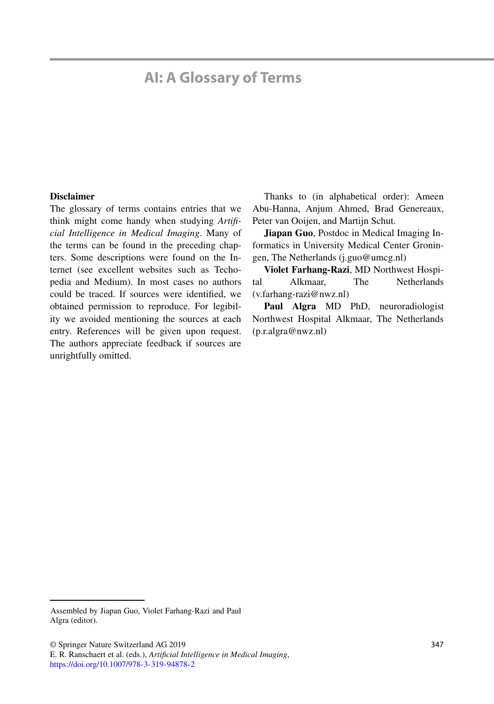# **AI: A Glossary of Terms**

# **Disclaimer**

The glossary of terms contains entries that we think might come handy when studying *Artificial Intelligence in Medical Imaging*. Many of the terms can be found in the preceding chapters. Some descriptions were found on the Internet (see excellent websites such as Techopedia and Medium). In most cases no authors could be traced. If sources were identified, we obtained permission to reproduce. For legibility we avoided mentioning the sources at each entry. References will be given upon request. The authors appreciate feedback if sources are unrightfully omitted.

Thanks to (in alphabetical order): Ameen Abu-Hanna, Anjum Ahmed, Brad Genereaux, Peter van Ooijen, and Martijn Schut.

**Jiapan Guo**, Postdoc in Medical Imaging Informatics in University Medical Center Groningen, The Netherlands (j.guo@umcg.nl)

**Violet Farhang-Razi**, MD Northwest Hospital Alkmaar, The Netherlands (v.farhang-razi@nwz.nl)

**Paul Algra** MD PhD, neuroradiologist Northwest Hospital Alkmaar, The Netherlands (p.r.algra@nwz.nl)

Assembled by Jiapan Guo, Violet Farhang-Razi and Paul Algra (editor).

<sup>©</sup> Springer Nature Switzerland AG 2019 E. R. Ranschaert et al. (eds.), *Artificial Intelligence in Medical Imaging*, <https://doi.org/10.1007/978-3-319-94878-2>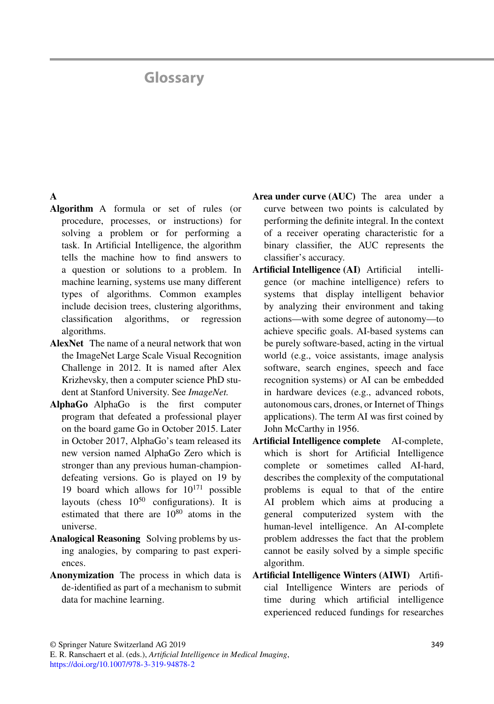# **Glossary**

# **A**

- **Algorithm** A formula or set of rules (or procedure, processes, or instructions) for solving a problem or for performing a task. In Artificial Intelligence, the algorithm tells the machine how to find answers to a question or solutions to a problem. In machine learning, systems use many different types of algorithms. Common examples include decision trees, clustering algorithms, classification algorithms, or regression algorithms.
- **AlexNet** The name of a neural network that won the ImageNet Large Scale Visual Recognition Challenge in 2012. It is named after Alex Krizhevsky, then a computer science PhD student at Stanford University. See *ImageNet.*
- **AlphaGo** AlphaGo is the first computer program that defeated a professional player on the board game Go in October 2015. Later in October 2017, AlphaGo's team released its new version named AlphaGo Zero which is stronger than any previous human-championdefeating versions. Go is played on 19 by 19 board which allows for  $10^{171}$  possible layouts (chess  $10^{50}$  configurations). It is estimated that there are  $10^{80}$  atoms in the universe.
- **Analogical Reasoning** Solving problems by using analogies, by comparing to past experiences.
- **Anonymization** The process in which data is de-identified as part of a mechanism to submit data for machine learning.

**Area under curve (AUC)** The area under a curve between two points is calculated by performing the definite integral. In the context of a receiver operating characteristic for a binary classifier, the AUC represents the classifier's accuracy.

- **Artificial Intelligence (AI)** Artificial intelligence (or machine intelligence) refers to systems that display intelligent behavior by analyzing their environment and taking actions—with some degree of autonomy—to achieve specific goals. AI-based systems can be purely software-based, acting in the virtual world (e.g., voice assistants, image analysis software, search engines, speech and face recognition systems) or AI can be embedded in hardware devices (e.g., advanced robots, autonomous cars, drones, or Internet of Things applications). The term AI was first coined by John McCarthy in 1956.
- **Artificial Intelligence complete** AI-complete, which is short for Artificial Intelligence complete or sometimes called AI-hard, describes the complexity of the computational problems is equal to that of the entire AI problem which aims at producing a general computerized system with the human-level intelligence. An AI-complete problem addresses the fact that the problem cannot be easily solved by a simple specific algorithm.
- **Artificial Intelligence Winters (AIWI)** Artificial Intelligence Winters are periods of time during which artificial intelligence experienced reduced fundings for researches

<sup>©</sup> Springer Nature Switzerland AG 2019

E. R. Ranschaert et al. (eds.), *Artificial Intelligence in Medical Imaging*, <https://doi.org/10.1007/978-3-319-94878-2>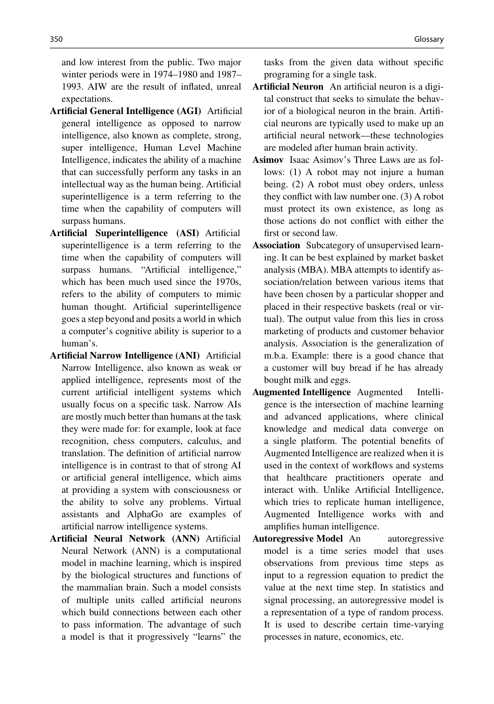and low interest from the public. Two major winter periods were in 1974–1980 and 1987– 1993. AIW are the result of inflated, unreal expectations.

- **Artificial General Intelligence (AGI)** Artificial general intelligence as opposed to narrow intelligence, also known as complete, strong, super intelligence, Human Level Machine Intelligence, indicates the ability of a machine that can successfully perform any tasks in an intellectual way as the human being. Artificial superintelligence is a term referring to the time when the capability of computers will surpass humans.
- **Artificial Superintelligence (ASI)** Artificial superintelligence is a term referring to the time when the capability of computers will surpass humans. "Artificial intelligence," which has been much used since the 1970s, refers to the ability of computers to mimic human thought. Artificial superintelligence goes a step beyond and posits a world in which a computer's cognitive ability is superior to a human's.
- **Artificial Narrow Intelligence (ANI)** Artificial Narrow Intelligence, also known as weak or applied intelligence, represents most of the current artificial intelligent systems which usually focus on a specific task. Narrow AIs are mostly much better than humans at the task they were made for: for example, look at face recognition, chess computers, calculus, and translation. The definition of artificial narrow intelligence is in contrast to that of strong AI or artificial general intelligence, which aims at providing a system with consciousness or the ability to solve any problems. Virtual assistants and AlphaGo are examples of artificial narrow intelligence systems.
- **Artificial Neural Network (ANN)** Artificial Neural Network (ANN) is a computational model in machine learning, which is inspired by the biological structures and functions of the mammalian brain. Such a model consists of multiple units called artificial neurons which build connections between each other to pass information. The advantage of such a model is that it progressively "learns" the

tasks from the given data without specific programing for a single task.

- **Artificial Neuron** An artificial neuron is a digital construct that seeks to simulate the behavior of a biological neuron in the brain. Artificial neurons are typically used to make up an artificial neural network—these technologies are modeled after human brain activity.
- **Asimov** Isaac Asimov's Three Laws are as follows: (1) A robot may not injure a human being. (2) A robot must obey orders, unless they conflict with law number one. (3) A robot must protect its own existence, as long as those actions do not conflict with either the first or second law.
- **Association** Subcategory of unsupervised learning. It can be best explained by market basket analysis (MBA). MBA attempts to identify association/relation between various items that have been chosen by a particular shopper and placed in their respective baskets (real or virtual). The output value from this lies in cross marketing of products and customer behavior analysis. Association is the generalization of m.b.a. Example: there is a good chance that a customer will buy bread if he has already bought milk and eggs.
- **Augmented Intelligence** Augmented Intelligence is the intersection of machine learning and advanced applications, where clinical knowledge and medical data converge on a single platform. The potential benefits of Augmented Intelligence are realized when it is used in the context of workflows and systems that healthcare practitioners operate and interact with. Unlike Artificial Intelligence, which tries to replicate human intelligence, Augmented Intelligence works with and amplifies human intelligence.
- **Autoregressive Model** An autoregressive model is a time series model that uses observations from previous time steps as input to a regression equation to predict the value at the next time step. In statistics and signal processing, an autoregressive model is a representation of a type of random process. It is used to describe certain time-varying processes in nature, economics, etc.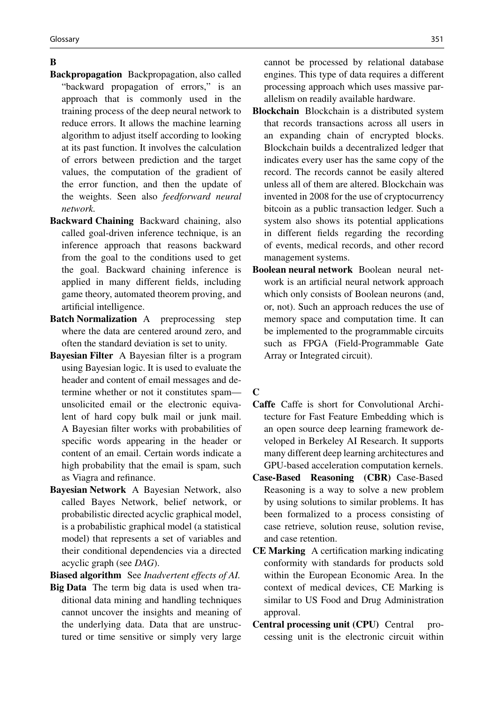### **B**

- **Backpropagation** Backpropagation, also called "backward propagation of errors," is an approach that is commonly used in the training process of the deep neural network to reduce errors. It allows the machine learning algorithm to adjust itself according to looking at its past function. It involves the calculation of errors between prediction and the target values, the computation of the gradient of the error function, and then the update of the weights. Seen also *feedforward neural network.*
- **Backward Chaining** Backward chaining, also called goal-driven inference technique, is an inference approach that reasons backward from the goal to the conditions used to get the goal. Backward chaining inference is applied in many different fields, including game theory, automated theorem proving, and artificial intelligence.
- **Batch Normalization** A preprocessing step where the data are centered around zero, and often the standard deviation is set to unity.
- **Bayesian Filter** A Bayesian filter is a program using Bayesian logic. It is used to evaluate the header and content of email messages and determine whether or not it constitutes spam unsolicited email or the electronic equivalent of hard copy bulk mail or junk mail. A Bayesian filter works with probabilities of specific words appearing in the header or content of an email. Certain words indicate a high probability that the email is spam, such as Viagra and refinance.
- **Bayesian Network** A Bayesian Network, also called Bayes Network, belief network, or probabilistic directed acyclic graphical model, is a probabilistic graphical model (a statistical model) that represents a set of variables and their conditional dependencies via a directed acyclic graph (see *DAG*).

**Biased algorithm** See *Inadvertent effects of AI.*

**Big Data** The term big data is used when traditional data mining and handling techniques cannot uncover the insights and meaning of the underlying data. Data that are unstructured or time sensitive or simply very large cannot be processed by relational database engines. This type of data requires a different processing approach which uses massive parallelism on readily available hardware.

- **Blockchain** Blockchain is a distributed system that records transactions across all users in an expanding chain of encrypted blocks. Blockchain builds a decentralized ledger that indicates every user has the same copy of the record. The records cannot be easily altered unless all of them are altered. Blockchain was invented in 2008 for the use of cryptocurrency bitcoin as a public transaction ledger. Such a system also shows its potential applications in different fields regarding the recording of events, medical records, and other record management systems.
- **Boolean neural network** Boolean neural network is an artificial neural network approach which only consists of Boolean neurons (and, or, not). Such an approach reduces the use of memory space and computation time. It can be implemented to the programmable circuits such as FPGA (Field-Programmable Gate Array or Integrated circuit).

## **C**

- **Caffe** Caffe is short for Convolutional Architecture for Fast Feature Embedding which is an open source deep learning framework developed in Berkeley AI Research. It supports many different deep learning architectures and GPU-based acceleration computation kernels.
- **Case-Based Reasoning (CBR)** Case-Based Reasoning is a way to solve a new problem by using solutions to similar problems. It has been formalized to a process consisting of case retrieve, solution reuse, solution revise, and case retention.
- **CE Marking** A certification marking indicating conformity with standards for products sold within the European Economic Area. In the context of medical devices, CE Marking is similar to US Food and Drug Administration approval.
- **Central processing unit (CPU)** Central processing unit is the electronic circuit within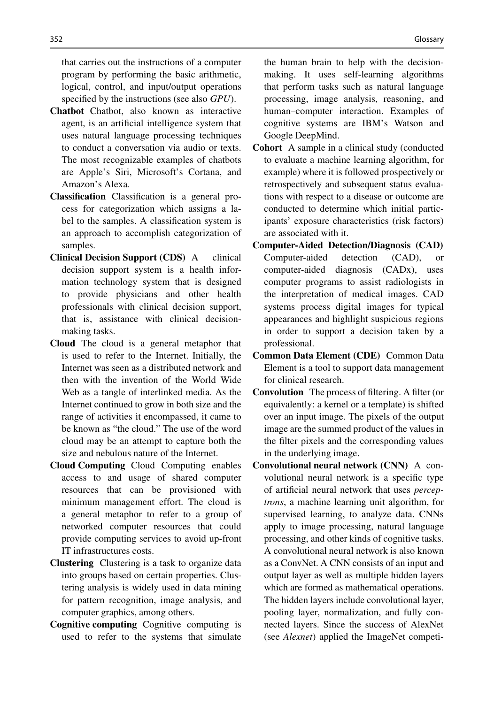that carries out the instructions of a computer program by performing the basic arithmetic, logical, control, and input/output operations specified by the instructions (see also *GPU*).

- **Chatbot** Chatbot, also known as interactive agent, is an artificial intelligence system that uses natural language processing techniques to conduct a conversation via audio or texts. The most recognizable examples of chatbots are Apple's Siri, Microsoft's Cortana, and Amazon's Alexa.
- **Classification** Classification is a general process for categorization which assigns a label to the samples. A classification system is an approach to accomplish categorization of samples.
- **Clinical Decision Support (CDS)** A clinical decision support system is a health information technology system that is designed to provide physicians and other health professionals with clinical decision support, that is, assistance with clinical decisionmaking tasks.
- **Cloud** The cloud is a general metaphor that is used to refer to the Internet. Initially, the Internet was seen as a distributed network and then with the invention of the World Wide Web as a tangle of interlinked media. As the Internet continued to grow in both size and the range of activities it encompassed, it came to be known as "the cloud." The use of the word cloud may be an attempt to capture both the size and nebulous nature of the Internet.
- **Cloud Computing** Cloud Computing enables access to and usage of shared computer resources that can be provisioned with minimum management effort. The cloud is a general metaphor to refer to a group of networked computer resources that could provide computing services to avoid up-front IT infrastructures costs.
- **Clustering** Clustering is a task to organize data into groups based on certain properties. Clustering analysis is widely used in data mining for pattern recognition, image analysis, and computer graphics, among others.
- **Cognitive computing** Cognitive computing is used to refer to the systems that simulate

the human brain to help with the decisionmaking. It uses self-learning algorithms that perform tasks such as natural language processing, image analysis, reasoning, and human–computer interaction. Examples of cognitive systems are IBM's Watson and Google DeepMind.

- **Cohort** A sample in a clinical study (conducted to evaluate a machine learning algorithm, for example) where it is followed prospectively or retrospectively and subsequent status evaluations with respect to a disease or outcome are conducted to determine which initial participants' exposure characteristics (risk factors) are associated with it.
- **Computer-Aided Detection/Diagnosis (CAD)** Computer-aided detection (CAD), or computer-aided diagnosis (CADx), uses computer programs to assist radiologists in the interpretation of medical images. CAD systems process digital images for typical appearances and highlight suspicious regions in order to support a decision taken by a professional.
- **Common Data Element (CDE)** Common Data Element is a tool to support data management for clinical research.
- **Convolution** The process of filtering. A filter (or equivalently: a kernel or a template) is shifted over an input image. The pixels of the output image are the summed product of the values in the filter pixels and the corresponding values in the underlying image.
- **Convolutional neural network (CNN)** A convolutional neural network is a specific type of artificial neural network that uses *perceptrons*, a machine learning unit algorithm, for supervised learning, to analyze data. CNNs apply to image processing, natural language processing, and other kinds of cognitive tasks. A convolutional neural network is also known as a ConvNet. A CNN consists of an input and output layer as well as multiple hidden layers which are formed as mathematical operations. The hidden layers include convolutional layer, pooling layer, normalization, and fully connected layers. Since the success of AlexNet (see *Alexnet*) applied the ImageNet competi-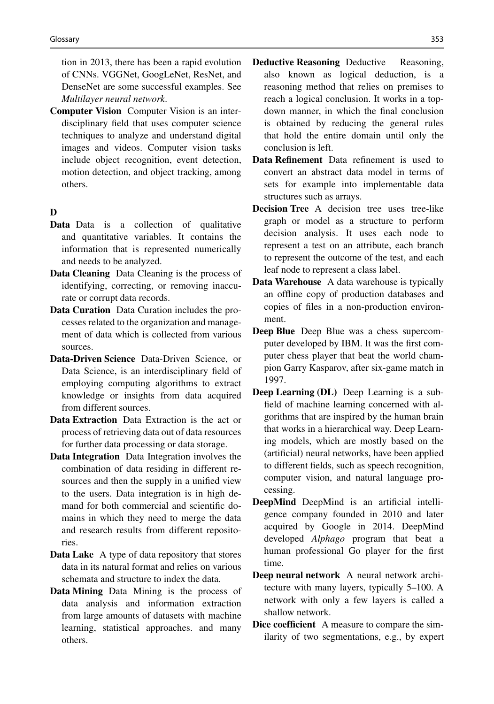tion in 2013, there has been a rapid evolution of CNNs. VGGNet, GoogLeNet, ResNet, and DenseNet are some successful examples. See *Multilayer neural network*.

**Computer Vision** Computer Vision is an interdisciplinary field that uses computer science techniques to analyze and understand digital images and videos. Computer vision tasks include object recognition, event detection, motion detection, and object tracking, among others.

# **D**

- **Data** Data is a collection of qualitative and quantitative variables. It contains the information that is represented numerically and needs to be analyzed.
- **Data Cleaning** Data Cleaning is the process of identifying, correcting, or removing inaccurate or corrupt data records.
- **Data Curation** Data Curation includes the processes related to the organization and management of data which is collected from various sources.
- **Data-Driven Science** Data-Driven Science, or Data Science, is an interdisciplinary field of employing computing algorithms to extract knowledge or insights from data acquired from different sources.
- **Data Extraction** Data Extraction is the act or process of retrieving data out of data resources for further data processing or data storage.
- **Data Integration** Data Integration involves the combination of data residing in different resources and then the supply in a unified view to the users. Data integration is in high demand for both commercial and scientific domains in which they need to merge the data and research results from different repositories.
- **Data Lake** A type of data repository that stores data in its natural format and relies on various schemata and structure to index the data.
- **Data Mining** Data Mining is the process of data analysis and information extraction from large amounts of datasets with machine learning, statistical approaches. and many others.
- **Deductive Reasoning** Deductive Reasoning, also known as logical deduction, is a reasoning method that relies on premises to reach a logical conclusion. It works in a topdown manner, in which the final conclusion is obtained by reducing the general rules that hold the entire domain until only the conclusion is left.
- **Data Refinement** Data refinement is used to convert an abstract data model in terms of sets for example into implementable data structures such as arrays.
- **Decision Tree** A decision tree uses tree-like graph or model as a structure to perform decision analysis. It uses each node to represent a test on an attribute, each branch to represent the outcome of the test, and each leaf node to represent a class label.
- **Data Warehouse** A data warehouse is typically an offline copy of production databases and copies of files in a non-production environment.
- **Deep Blue** Deep Blue was a chess supercomputer developed by IBM. It was the first computer chess player that beat the world champion Garry Kasparov, after six-game match in 1997.
- **Deep Learning (DL)** Deep Learning is a subfield of machine learning concerned with algorithms that are inspired by the human brain that works in a hierarchical way. Deep Learning models, which are mostly based on the (artificial) neural networks, have been applied to different fields, such as speech recognition, computer vision, and natural language processing.
- **DeepMind** DeepMind is an artificial intelligence company founded in 2010 and later acquired by Google in 2014. DeepMind developed *Alphago* program that beat a human professional Go player for the first time.
- **Deep neural network** A neural network architecture with many layers, typically 5–100. A network with only a few layers is called a shallow network.
- **Dice coefficient** A measure to compare the similarity of two segmentations, e.g., by expert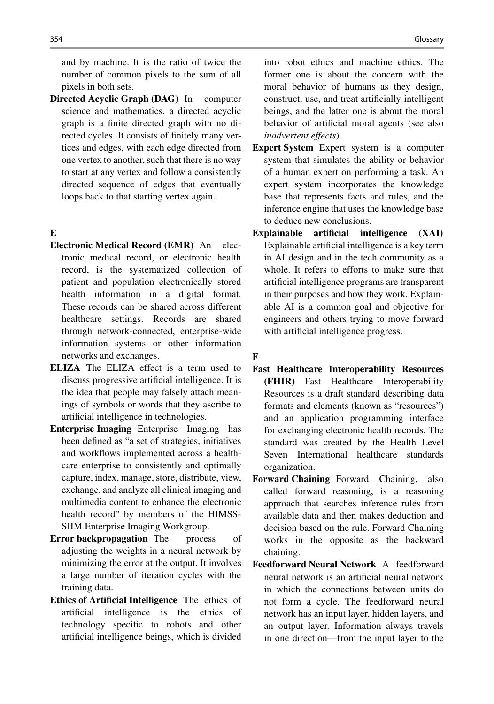and by machine. It is the ratio of twice the number of common pixels to the sum of all pixels in both sets.

**Directed Acyclic Graph (DAG)** In computer science and mathematics, a directed acyclic graph is a finite directed graph with no directed cycles. It consists of finitely many vertices and edges, with each edge directed from one vertex to another, such that there is no way to start at any vertex and follow a consistently directed sequence of edges that eventually loops back to that starting vertex again.

# **E**

- **Electronic Medical Record (EMR)** An electronic medical record, or electronic health record, is the systematized collection of patient and population electronically stored health information in a digital format. These records can be shared across different healthcare settings. Records are shared through network-connected, enterprise-wide information systems or other information networks and exchanges.
- **ELIZA** The ELIZA effect is a term used to discuss progressive artificial intelligence. It is the idea that people may falsely attach meanings of symbols or words that they ascribe to artificial intelligence in technologies.
- **Enterprise Imaging** Enterprise Imaging has been defined as "a set of strategies, initiatives and workflows implemented across a healthcare enterprise to consistently and optimally capture, index, manage, store, distribute, view, exchange, and analyze all clinical imaging and multimedia content to enhance the electronic health record" by members of the HIMSS-SIIM Enterprise Imaging Workgroup.
- **Error backpropagation** The process of adjusting the weights in a neural network by minimizing the error at the output. It involves a large number of iteration cycles with the training data.
- **Ethics of Artificial Intelligence** The ethics of artificial intelligence is the ethics of technology specific to robots and other artificial intelligence beings, which is divided

into robot ethics and machine ethics. The former one is about the concern with the moral behavior of humans as they design, construct, use, and treat artificially intelligent beings, and the latter one is about the moral behavior of artificial moral agents (see also *inadvertent effects*).

- **Expert System** Expert system is a computer system that simulates the ability or behavior of a human expert on performing a task. An expert system incorporates the knowledge base that represents facts and rules, and the inference engine that uses the knowledge base to deduce new conclusions.
- **Explainable artificial intelligence (XAI)** Explainable artificial intelligence is a key term in AI design and in the tech community as a whole. It refers to efforts to make sure that artificial intelligence programs are transparent in their purposes and how they work. Explainable AI is a common goal and objective for engineers and others trying to move forward with artificial intelligence progress.

**F**

- **Fast Healthcare Interoperability Resources (FHIR)** Fast Healthcare Interoperability Resources is a draft standard describing data formats and elements (known as "resources") and an application programming interface for exchanging electronic health records. The standard was created by the Health Level Seven International healthcare standards organization.
- **Forward Chaining** Forward Chaining, also called forward reasoning, is a reasoning approach that searches inference rules from available data and then makes deduction and decision based on the rule. Forward Chaining works in the opposite as the backward chaining.
- **Feedforward Neural Network** A feedforward neural network is an artificial neural network in which the connections between units do not form a cycle. The feedforward neural network has an input layer, hidden layers, and an output layer. Information always travels in one direction—from the input layer to the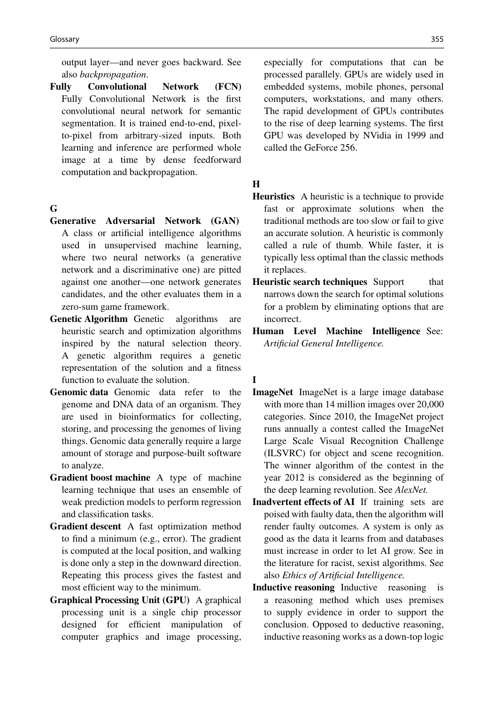output layer—and never goes backward. See also *backpropagation*.

**Fully Convolutional Network (FCN)** Fully Convolutional Network is the first convolutional neural network for semantic segmentation. It is trained end-to-end, pixelto-pixel from arbitrary-sized inputs. Both learning and inference are performed whole image at a time by dense feedforward computation and backpropagation.

# **G**

- **Generative Adversarial Network (GAN)** A class or artificial intelligence algorithms used in unsupervised machine learning, where two neural networks (a generative network and a discriminative one) are pitted against one another—one network generates candidates, and the other evaluates them in a zero-sum game framework.
- **Genetic Algorithm** Genetic algorithms are heuristic search and optimization algorithms inspired by the natural selection theory. A genetic algorithm requires a genetic representation of the solution and a fitness function to evaluate the solution.
- **Genomic data** Genomic data refer to the genome and DNA data of an organism. They are used in bioinformatics for collecting, storing, and processing the genomes of living things. Genomic data generally require a large amount of storage and purpose-built software to analyze.
- **Gradient boost machine** A type of machine learning technique that uses an ensemble of weak prediction models to perform regression and classification tasks.
- **Gradient descent** A fast optimization method to find a minimum (e.g., error). The gradient is computed at the local position, and walking is done only a step in the downward direction. Repeating this process gives the fastest and most efficient way to the minimum.
- **Graphical Processing Unit (GPU)** A graphical processing unit is a single chip processor designed for efficient manipulation of computer graphics and image processing,

especially for computations that can be processed parallely. GPUs are widely used in embedded systems, mobile phones, personal computers, workstations, and many others. The rapid development of GPUs contributes to the rise of deep learning systems. The first GPU was developed by NVidia in 1999 and called the GeForce 256.

# **H**

- **Heuristics** A heuristic is a technique to provide fast or approximate solutions when the traditional methods are too slow or fail to give an accurate solution. A heuristic is commonly called a rule of thumb. While faster, it is typically less optimal than the classic methods it replaces.
- **Heuristic search techniques** Support that narrows down the search for optimal solutions for a problem by eliminating options that are incorrect.
- **Human Level Machine Intelligence** See: *Artificial General Intelligence.*

# **I**

- **ImageNet** ImageNet is a large image database with more than 14 million images over 20,000 categories. Since 2010, the ImageNet project runs annually a contest called the ImageNet Large Scale Visual Recognition Challenge (ILSVRC) for object and scene recognition. The winner algorithm of the contest in the year 2012 is considered as the beginning of the deep learning revolution. See *AlexNet.*
- **Inadvertent effects of AI** If training sets are poised with faulty data, then the algorithm will render faulty outcomes. A system is only as good as the data it learns from and databases must increase in order to let AI grow. See in the literature for racist, sexist algorithms. See also *Ethics of Artificial Intelligence.*
- **Inductive reasoning** Inductive reasoning is a reasoning method which uses premises to supply evidence in order to support the conclusion. Opposed to deductive reasoning, inductive reasoning works as a down-top logic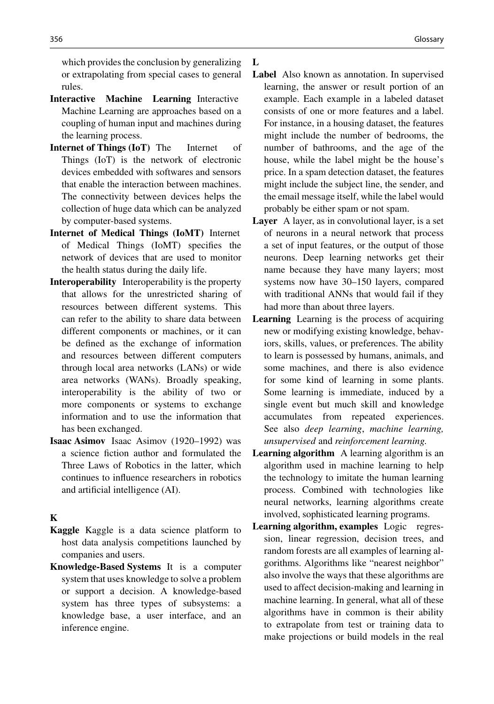which provides the conclusion by generalizing or extrapolating from special cases to general rules.

- **Interactive Machine Learning** Interactive Machine Learning are approaches based on a coupling of human input and machines during the learning process.
- **Internet of Things (IoT)** The Internet of Things (IoT) is the network of electronic devices embedded with softwares and sensors that enable the interaction between machines. The connectivity between devices helps the collection of huge data which can be analyzed by computer-based systems.
- **Internet of Medical Things (IoMT)** Internet of Medical Things (IoMT) specifies the network of devices that are used to monitor the health status during the daily life.
- **Interoperability** Interoperability is the property that allows for the unrestricted sharing of resources between different systems. This can refer to the ability to share data between different components or machines, or it can be defined as the exchange of information and resources between different computers through local area networks (LANs) or wide area networks (WANs). Broadly speaking, interoperability is the ability of two or more components or systems to exchange information and to use the information that has been exchanged.
- **Isaac Asimov** Isaac Asimov (1920–1992) was a science fiction author and formulated the Three Laws of Robotics in the latter, which continues to influence researchers in robotics and artificial intelligence (AI).

# **K**

- **Kaggle** Kaggle is a data science platform to host data analysis competitions launched by companies and users.
- **Knowledge-Based Systems** It is a computer system that uses knowledge to solve a problem or support a decision. A knowledge-based system has three types of subsystems: a knowledge base, a user interface, and an inference engine.

**L**

- **Label** Also known as annotation. In supervised learning, the answer or result portion of an example. Each example in a labeled dataset consists of one or more features and a label. For instance, in a housing dataset, the features might include the number of bedrooms, the number of bathrooms, and the age of the house, while the label might be the house's price. In a spam detection dataset, the features might include the subject line, the sender, and the email message itself, while the label would probably be either spam or not spam.
- **Layer** A layer, as in convolutional layer, is a set of neurons in a neural network that process a set of input features, or the output of those neurons. Deep learning networks get their name because they have many layers; most systems now have 30–150 layers, compared with traditional ANNs that would fail if they had more than about three layers.
- **Learning** Learning is the process of acquiring new or modifying existing knowledge, behaviors, skills, values, or preferences. The ability to learn is possessed by humans, animals, and some machines, and there is also evidence for some kind of learning in some plants. Some learning is immediate, induced by a single event but much skill and knowledge accumulates from repeated experiences. See also *deep learning*, *machine learning, unsupervised* and *reinforcement learning.*
- **Learning algorithm** A learning algorithm is an algorithm used in machine learning to help the technology to imitate the human learning process. Combined with technologies like neural networks, learning algorithms create involved, sophisticated learning programs.
- **Learning algorithm, examples** Logic regression, linear regression, decision trees, and random forests are all examples of learning algorithms. Algorithms like "nearest neighbor" also involve the ways that these algorithms are used to affect decision-making and learning in machine learning. In general, what all of these algorithms have in common is their ability to extrapolate from test or training data to make projections or build models in the real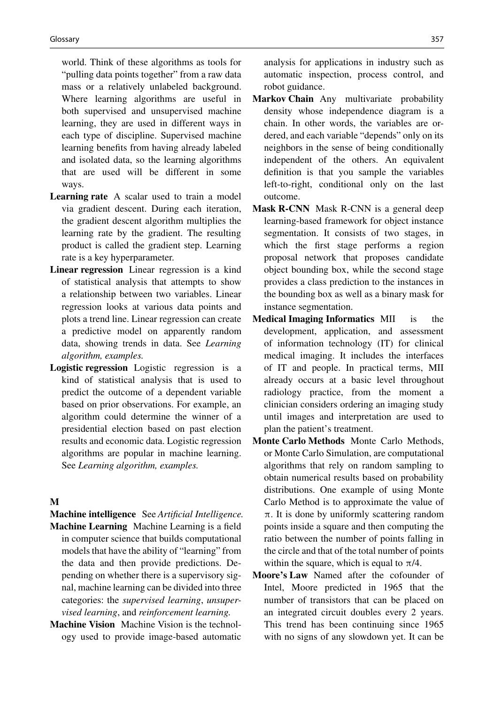world. Think of these algorithms as tools for "pulling data points together" from a raw data mass or a relatively unlabeled background. Where learning algorithms are useful in both supervised and unsupervised machine learning, they are used in different ways in each type of discipline. Supervised machine learning benefits from having already labeled and isolated data, so the learning algorithms that are used will be different in some ways.

- **Learning rate** A scalar used to train a model via gradient descent. During each iteration, the gradient descent algorithm multiplies the learning rate by the gradient. The resulting product is called the gradient step. Learning rate is a key hyperparameter.
- **Linear regression** Linear regression is a kind of statistical analysis that attempts to show a relationship between two variables. Linear regression looks at various data points and plots a trend line. Linear regression can create a predictive model on apparently random data, showing trends in data. See *Learning algorithm, examples.*
- **Logistic regression** Logistic regression is a kind of statistical analysis that is used to predict the outcome of a dependent variable based on prior observations. For example, an algorithm could determine the winner of a presidential election based on past election results and economic data. Logistic regression algorithms are popular in machine learning. See *Learning algorithm, examples.*

## **M**

**Machine intelligence** See *Artificial Intelligence.* **Machine Learning** Machine Learning is a field

- in computer science that builds computational models that have the ability of "learning" from the data and then provide predictions. Depending on whether there is a supervisory signal, machine learning can be divided into three categories: the *supervised learning*, *unsupervised learning*, and *reinforcement learning.*
- **Machine Vision** Machine Vision is the technology used to provide image-based automatic

analysis for applications in industry such as automatic inspection, process control, and robot guidance.

- **Markov Chain** Any multivariate probability density whose independence diagram is a chain. In other words, the variables are ordered, and each variable "depends" only on its neighbors in the sense of being conditionally independent of the others. An equivalent definition is that you sample the variables left-to-right, conditional only on the last outcome.
- **Mask R-CNN** Mask R-CNN is a general deep learning-based framework for object instance segmentation. It consists of two stages, in which the first stage performs a region proposal network that proposes candidate object bounding box, while the second stage provides a class prediction to the instances in the bounding box as well as a binary mask for instance segmentation.
- **Medical Imaging Informatics** MII is the development, application, and assessment of information technology (IT) for clinical medical imaging. It includes the interfaces of IT and people. In practical terms, MII already occurs at a basic level throughout radiology practice, from the moment a clinician considers ordering an imaging study until images and interpretation are used to plan the patient's treatment.
- **Monte Carlo Methods** Monte Carlo Methods, or Monte Carlo Simulation, are computational algorithms that rely on random sampling to obtain numerical results based on probability distributions. One example of using Monte Carlo Method is to approximate the value of π. It is done by uniformly scattering random points inside a square and then computing the ratio between the number of points falling in the circle and that of the total number of points within the square, which is equal to  $\pi/4$ .
- **Moore's Law** Named after the cofounder of Intel, Moore predicted in 1965 that the number of transistors that can be placed on an integrated circuit doubles every 2 years. This trend has been continuing since 1965 with no signs of any slowdown yet. It can be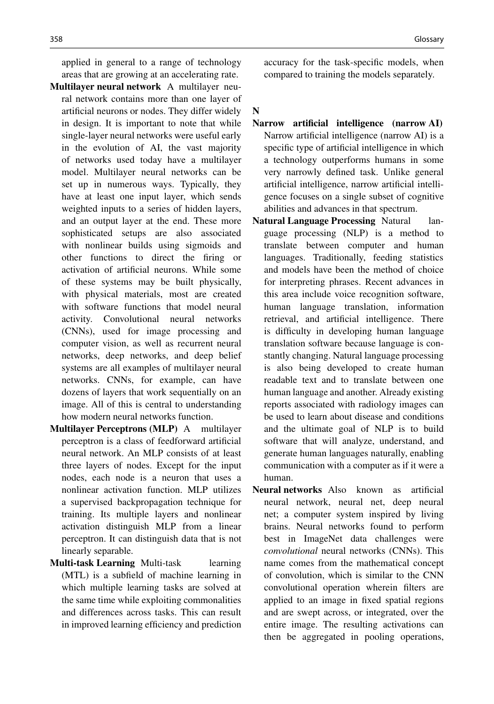applied in general to a range of technology areas that are growing at an accelerating rate.

- **Multilayer neural network** A multilayer neural network contains more than one layer of artificial neurons or nodes. They differ widely in design. It is important to note that while single-layer neural networks were useful early in the evolution of AI, the vast majority of networks used today have a multilayer model. Multilayer neural networks can be set up in numerous ways. Typically, they have at least one input layer, which sends weighted inputs to a series of hidden layers, and an output layer at the end. These more sophisticated setups are also associated with nonlinear builds using sigmoids and other functions to direct the firing or activation of artificial neurons. While some of these systems may be built physically, with physical materials, most are created with software functions that model neural activity. Convolutional neural networks (CNNs), used for image processing and computer vision, as well as recurrent neural networks, deep networks, and deep belief systems are all examples of multilayer neural networks. CNNs, for example, can have dozens of layers that work sequentially on an image. All of this is central to understanding how modern neural networks function.
- **Multilayer Perceptrons (MLP)** A multilayer perceptron is a class of feedforward artificial neural network. An MLP consists of at least three layers of nodes. Except for the input nodes, each node is a neuron that uses a nonlinear activation function. MLP utilizes a supervised backpropagation technique for training. Its multiple layers and nonlinear activation distinguish MLP from a linear perceptron. It can distinguish data that is not linearly separable.
- **Multi-task Learning** Multi-task learning (MTL) is a subfield of machine learning in which multiple learning tasks are solved at the same time while exploiting commonalities and differences across tasks. This can result in improved learning efficiency and prediction

accuracy for the task-specific models, when compared to training the models separately.

**N**

- **Narrow artificial intelligence (narrow AI)** Narrow artificial intelligence (narrow AI) is a specific type of artificial intelligence in which a technology outperforms humans in some very narrowly defined task. Unlike general artificial intelligence, narrow artificial intelligence focuses on a single subset of cognitive abilities and advances in that spectrum.
- **Natural Language Processing** Natural language processing (NLP) is a method to translate between computer and human languages. Traditionally, feeding statistics and models have been the method of choice for interpreting phrases. Recent advances in this area include voice recognition software, human language translation, information retrieval, and artificial intelligence. There is difficulty in developing human language translation software because language is constantly changing. Natural language processing is also being developed to create human readable text and to translate between one human language and another. Already existing reports associated with radiology images can be used to learn about disease and conditions and the ultimate goal of NLP is to build software that will analyze, understand, and generate human languages naturally, enabling communication with a computer as if it were a human.
- **Neural networks** Also known as artificial neural network, neural net, deep neural net; a computer system inspired by living brains. Neural networks found to perform best in ImageNet data challenges were *convolutional* neural networks (CNNs). This name comes from the mathematical concept of convolution, which is similar to the CNN convolutional operation wherein filters are applied to an image in fixed spatial regions and are swept across, or integrated, over the entire image. The resulting activations can then be aggregated in pooling operations,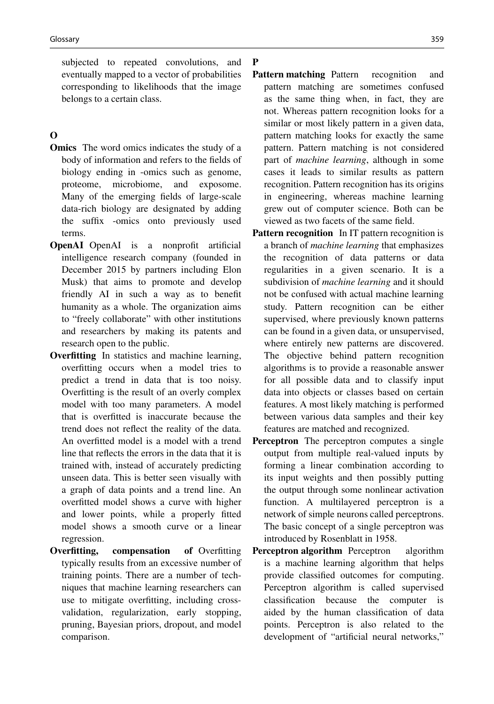subjected to repeated convolutions, and eventually mapped to a vector of probabilities corresponding to likelihoods that the image belongs to a certain class.

# **O**

- **Omics** The word omics indicates the study of a body of information and refers to the fields of biology ending in -omics such as genome, proteome, microbiome, and exposome. Many of the emerging fields of large-scale data-rich biology are designated by adding the suffix -omics onto previously used terms.
- **OpenAI** OpenAI is a nonprofit artificial intelligence research company (founded in December 2015 by partners including Elon Musk) that aims to promote and develop friendly AI in such a way as to benefit humanity as a whole. The organization aims to "freely collaborate" with other institutions and researchers by making its patents and research open to the public.
- **Overfitting** In statistics and machine learning, overfitting occurs when a model tries to predict a trend in data that is too noisy. Overfitting is the result of an overly complex model with too many parameters. A model that is overfitted is inaccurate because the trend does not reflect the reality of the data. An overfitted model is a model with a trend line that reflects the errors in the data that it is trained with, instead of accurately predicting unseen data. This is better seen visually with a graph of data points and a trend line. An overfitted model shows a curve with higher and lower points, while a properly fitted model shows a smooth curve or a linear regression.
- **Overfitting, compensation of** Overfitting typically results from an excessive number of training points. There are a number of techniques that machine learning researchers can use to mitigate overfitting, including crossvalidation, regularization, early stopping, pruning, Bayesian priors, dropout, and model comparison.

# **P**

- **Pattern matching** Pattern recognition and pattern matching are sometimes confused as the same thing when, in fact, they are not. Whereas pattern recognition looks for a similar or most likely pattern in a given data, pattern matching looks for exactly the same pattern. Pattern matching is not considered part of *machine learning*, although in some cases it leads to similar results as pattern recognition. Pattern recognition has its origins in engineering, whereas machine learning grew out of computer science. Both can be viewed as two facets of the same field.
- **Pattern recognition** In IT pattern recognition is a branch of *machine learning* that emphasizes the recognition of data patterns or data regularities in a given scenario. It is a subdivision of *machine learning* and it should not be confused with actual machine learning study. Pattern recognition can be either supervised, where previously known patterns can be found in a given data, or unsupervised, where entirely new patterns are discovered. The objective behind pattern recognition algorithms is to provide a reasonable answer for all possible data and to classify input data into objects or classes based on certain features. A most likely matching is performed between various data samples and their key features are matched and recognized.
- **Perceptron** The perceptron computes a single output from multiple real-valued inputs by forming a linear combination according to its input weights and then possibly putting the output through some nonlinear activation function. A multilayered perceptron is a network of simple neurons called perceptrons. The basic concept of a single perceptron was introduced by Rosenblatt in 1958.
- **Perceptron algorithm** Perceptron algorithm is a machine learning algorithm that helps provide classified outcomes for computing. Perceptron algorithm is called supervised classification because the computer is aided by the human classification of data points. Perceptron is also related to the development of "artificial neural networks,"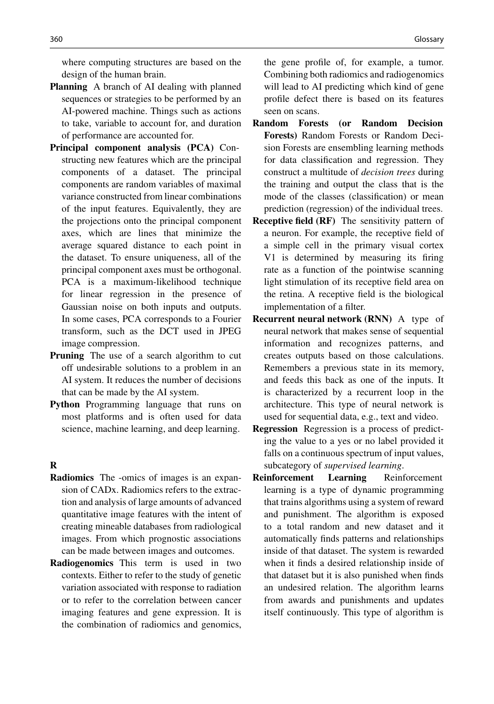where computing structures are based on the design of the human brain.

- **Planning** A branch of AI dealing with planned sequences or strategies to be performed by an AI-powered machine. Things such as actions to take, variable to account for, and duration of performance are accounted for.
- **Principal component analysis (PCA)** Constructing new features which are the principal components of a dataset. The principal components are random variables of maximal variance constructed from linear combinations of the input features. Equivalently, they are the projections onto the principal component axes, which are lines that minimize the average squared distance to each point in the dataset. To ensure uniqueness, all of the principal component axes must be orthogonal. PCA is a maximum-likelihood technique for linear regression in the presence of Gaussian noise on both inputs and outputs. In some cases, PCA corresponds to a Fourier transform, such as the DCT used in JPEG image compression.
- **Pruning** The use of a search algorithm to cut off undesirable solutions to a problem in an AI system. It reduces the number of decisions that can be made by the AI system.
- **Python** Programming language that runs on most platforms and is often used for data science, machine learning, and deep learning.

# **R**

- **Radiomics** The -omics of images is an expansion of CADx. Radiomics refers to the extraction and analysis of large amounts of advanced quantitative image features with the intent of creating mineable databases from radiological images. From which prognostic associations can be made between images and outcomes.
- **Radiogenomics** This term is used in two contexts. Either to refer to the study of genetic variation associated with response to radiation or to refer to the correlation between cancer imaging features and gene expression. It is the combination of radiomics and genomics,

the gene profile of, for example, a tumor. Combining both radiomics and radiogenomics will lead to AI predicting which kind of gene profile defect there is based on its features seen on scans.

- **Random Forests (or Random Decision Forests)** Random Forests or Random Decision Forests are ensembling learning methods for data classification and regression. They construct a multitude of *decision trees* during the training and output the class that is the mode of the classes (classification) or mean prediction (regression) of the individual trees.
- **Receptive field (RF)** The sensitivity pattern of a neuron. For example, the receptive field of a simple cell in the primary visual cortex V1 is determined by measuring its firing rate as a function of the pointwise scanning light stimulation of its receptive field area on the retina. A receptive field is the biological implementation of a filter.
- **Recurrent neural network (RNN)** A type of neural network that makes sense of sequential information and recognizes patterns, and creates outputs based on those calculations. Remembers a previous state in its memory, and feeds this back as one of the inputs. It is characterized by a recurrent loop in the architecture. This type of neural network is used for sequential data, e.g., text and video.
- **Regression** Regression is a process of predicting the value to a yes or no label provided it falls on a continuous spectrum of input values, subcategory of *supervised learning*.
- **Reinforcement Learning** Reinforcement learning is a type of dynamic programming that trains algorithms using a system of reward and punishment. The algorithm is exposed to a total random and new dataset and it automatically finds patterns and relationships inside of that dataset. The system is rewarded when it finds a desired relationship inside of that dataset but it is also punished when finds an undesired relation. The algorithm learns from awards and punishments and updates itself continuously. This type of algorithm is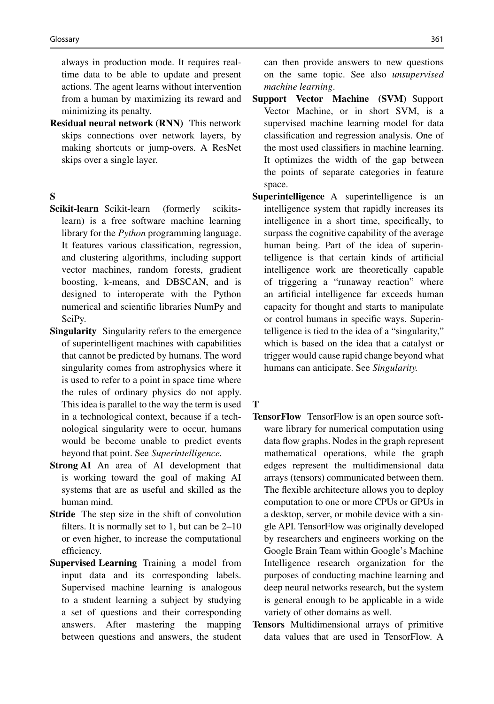always in production mode. It requires realtime data to be able to update and present actions. The agent learns without intervention from a human by maximizing its reward and minimizing its penalty.

**Residual neural network (RNN)** This network skips connections over network layers, by making shortcuts or jump-overs. A ResNet skips over a single layer.

# **S**

- **Scikit-learn** Scikit-learn (formerly scikitslearn) is a free software machine learning library for the *Python* programming language. It features various classification, regression, and clustering algorithms, including support vector machines, random forests, gradient boosting, k-means, and DBSCAN, and is designed to interoperate with the Python numerical and scientific libraries NumPy and SciPy.
- **Singularity** Singularity refers to the emergence of superintelligent machines with capabilities that cannot be predicted by humans. The word singularity comes from astrophysics where it is used to refer to a point in space time where the rules of ordinary physics do not apply. This idea is parallel to the way the term is used in a technological context, because if a technological singularity were to occur, humans would be become unable to predict events beyond that point. See *Superintelligence.*
- **Strong AI** An area of AI development that is working toward the goal of making AI systems that are as useful and skilled as the human mind.
- **Stride** The step size in the shift of convolution filters. It is normally set to 1, but can be 2–10 or even higher, to increase the computational efficiency.
- **Supervised Learning** Training a model from input data and its corresponding labels. Supervised machine learning is analogous to a student learning a subject by studying a set of questions and their corresponding answers. After mastering the mapping between questions and answers, the student

can then provide answers to new questions on the same topic. See also *unsupervised machine learning*.

- **Support Vector Machine (SVM)** Support Vector Machine, or in short SVM, is a supervised machine learning model for data classification and regression analysis. One of the most used classifiers in machine learning. It optimizes the width of the gap between the points of separate categories in feature space.
- **Superintelligence** A superintelligence is an intelligence system that rapidly increases its intelligence in a short time, specifically, to surpass the cognitive capability of the average human being. Part of the idea of superintelligence is that certain kinds of artificial intelligence work are theoretically capable of triggering a "runaway reaction" where an artificial intelligence far exceeds human capacity for thought and starts to manipulate or control humans in specific ways. Superintelligence is tied to the idea of a "singularity," which is based on the idea that a catalyst or trigger would cause rapid change beyond what humans can anticipate. See *Singularity.*

## **T**

- **TensorFlow** TensorFlow is an open source software library for numerical computation using data flow graphs. Nodes in the graph represent mathematical operations, while the graph edges represent the multidimensional data arrays (tensors) communicated between them. The flexible architecture allows you to deploy computation to one or more CPUs or GPUs in a desktop, server, or mobile device with a single API. TensorFlow was originally developed by researchers and engineers working on the Google Brain Team within Google's Machine Intelligence research organization for the purposes of conducting machine learning and deep neural networks research, but the system is general enough to be applicable in a wide variety of other domains as well.
- **Tensors** Multidimensional arrays of primitive data values that are used in TensorFlow. A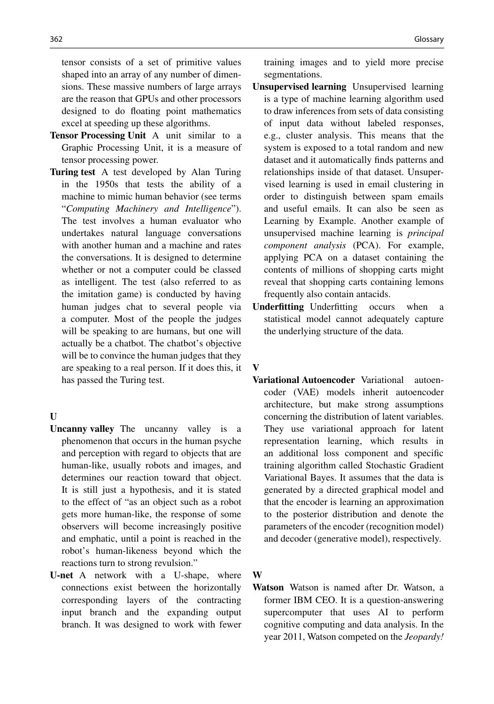tensor consists of a set of primitive values shaped into an array of any number of dimensions. These massive numbers of large arrays are the reason that GPUs and other processors designed to do floating point mathematics excel at speeding up these algorithms.

- **Tensor Processing Unit** A unit similar to a Graphic Processing Unit, it is a measure of tensor processing power.
- **Turing test** A test developed by Alan Turing in the 1950s that tests the ability of a machine to mimic human behavior (see terms "*Computing Machinery and Intelligence*"). The test involves a human evaluator who undertakes natural language conversations with another human and a machine and rates the conversations. It is designed to determine whether or not a computer could be classed as intelligent. The test (also referred to as the imitation game) is conducted by having human judges chat to several people via a computer. Most of the people the judges will be speaking to are humans, but one will actually be a chatbot. The chatbot's objective will be to convince the human judges that they are speaking to a real person. If it does this, it has passed the Turing test.

# **U**

- **Uncanny valley** The uncanny valley is a phenomenon that occurs in the human psyche and perception with regard to objects that are human-like, usually robots and images, and determines our reaction toward that object. It is still just a hypothesis, and it is stated to the effect of "as an object such as a robot gets more human-like, the response of some observers will become increasingly positive and emphatic, until a point is reached in the robot's human-likeness beyond which the reactions turn to strong revulsion."
- **U-net** A network with a U-shape, where connections exist between the horizontally corresponding layers of the contracting input branch and the expanding output branch. It was designed to work with fewer

training images and to yield more precise segmentations.

- **Unsupervised learning** Unsupervised learning is a type of machine learning algorithm used to draw inferences from sets of data consisting of input data without labeled responses, e.g., cluster analysis. This means that the system is exposed to a total random and new dataset and it automatically finds patterns and relationships inside of that dataset. Unsupervised learning is used in email clustering in order to distinguish between spam emails and useful emails. It can also be seen as Learning by Example. Another example of unsupervised machine learning is *principal component analysis* (PCA). For example, applying PCA on a dataset containing the contents of millions of shopping carts might reveal that shopping carts containing lemons frequently also contain antacids.
- **Underfitting** Underfitting occurs when a statistical model cannot adequately capture the underlying structure of the data.

# **V**

**Variational Autoencoder** Variational autoencoder (VAE) models inherit autoencoder architecture, but make strong assumptions concerning the distribution of latent variables. They use variational approach for latent representation learning, which results in an additional loss component and specific training algorithm called Stochastic Gradient Variational Bayes. It assumes that the data is generated by a directed graphical model and that the encoder is learning an approximation to the posterior distribution and denote the parameters of the encoder (recognition model) and decoder (generative model), respectively.

# **W**

**Watson** Watson is named after Dr. Watson, a former IBM CEO. It is a question-answering supercomputer that uses AI to perform cognitive computing and data analysis. In the year 2011, Watson competed on the *Jeopardy!*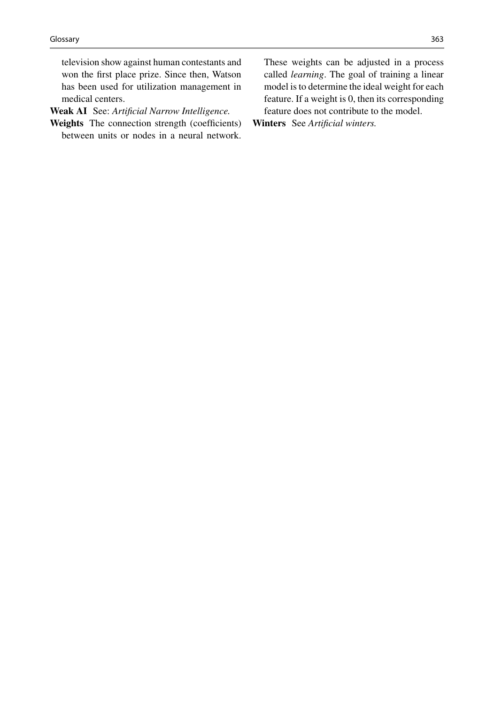television show against human contestants and won the first place prize. Since then, Watson has been used for utilization management in medical centers.

#### **Weak AI** See: *Artificial Narrow Intelligence.*

**Weights** The connection strength (coefficients) between units or nodes in a neural network.

These weights can be adjusted in a process called *learning*. The goal of training a linear model is to determine the ideal weight for each feature. If a weight is 0, then its corresponding feature does not contribute to the model.

**Winters** See *Artificial winters.*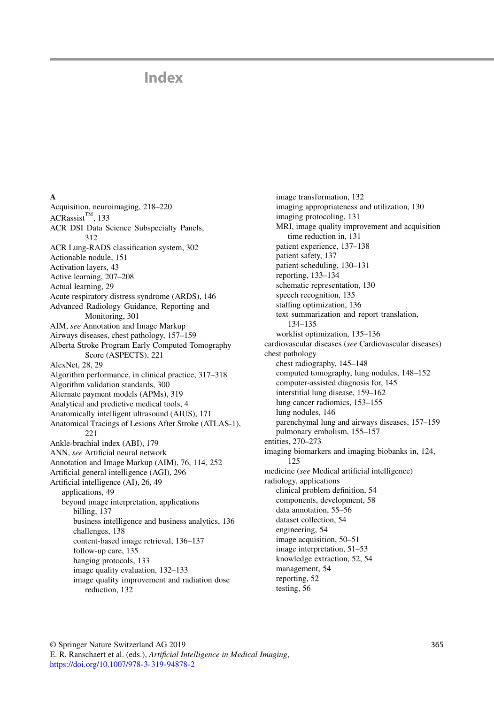# **Index**

#### **A**

Acquisition, neuroimaging, 218–220 ACRassist™, 133 ACR DSI Data Science Subspecialty Panels, 312 ACR Lung-RADS classification system, 302 Actionable nodule, 151 Activation layers, 43 Active learning, 207–208 Actual learning, 29 Acute respiratory distress syndrome (ARDS), 146 Advanced Radiology Guidance, Reporting and Monitoring, 301 AIM, *see* Annotation and Image Markup Airways diseases, chest pathology, 157–159 Alberta Stroke Program Early Computed Tomography Score (ASPECTS), 221 AlexNet, 28, 29 Algorithm performance, in clinical practice, 317–318 Algorithm validation standards, 300 Alternate payment models (APMs), 319 Analytical and predictive medical tools, 4 Anatomically intelligent ultrasound (AIUS), 171 Anatomical Tracings of Lesions After Stroke (ATLAS-1), 221 Ankle-brachial index (ABI), 179 ANN, *see* Artificial neural network Annotation and Image Markup (AIM), 76, 114, 252 Artificial general intelligence (AGI), 296 Artificial intelligence (AI), 26, 49 applications, 49 beyond image interpretation, applications billing, 137 business intelligence and business analytics, 136 challenges, 138 content-based image retrieval, 136–137 follow-up care, 135 hanging protocols, 133 image quality evaluation, 132–133 image quality improvement and radiation dose reduction, 132

image transformation, 132 imaging appropriateness and utilization, 130 imaging protocoling, 131 MRI, image quality improvement and acquisition time reduction in, 131 patient experience, 137–138 patient safety, 137 patient scheduling, 130–131 reporting, 133–134 schematic representation, 130 speech recognition, 135 staffing optimization, 136 text summarization and report translation, 134–135 worklist optimization, 135–136 cardiovascular diseases (*see* Cardiovascular diseases) chest pathology chest radiography, 145–148 computed tomography, lung nodules, 148–152 computer-assisted diagnosis for, 145 interstitial lung disease, 159–162 lung cancer radiomics, 153–155 lung nodules, 146 parenchymal lung and airways diseases, 157–159 pulmonary embolism, 155–157 entities, 270–273 imaging biomarkers and imaging biobanks in, 124, 125 medicine (*see* Medical artificial intelligence) radiology, applications clinical problem definition, 54 components, development, 58 data annotation, 55–56 dataset collection, 54 engineering, 54 image acquisition, 50–51 image interpretation, 51–53 knowledge extraction, 52, 54 management, 54 reporting, 52 testing, 56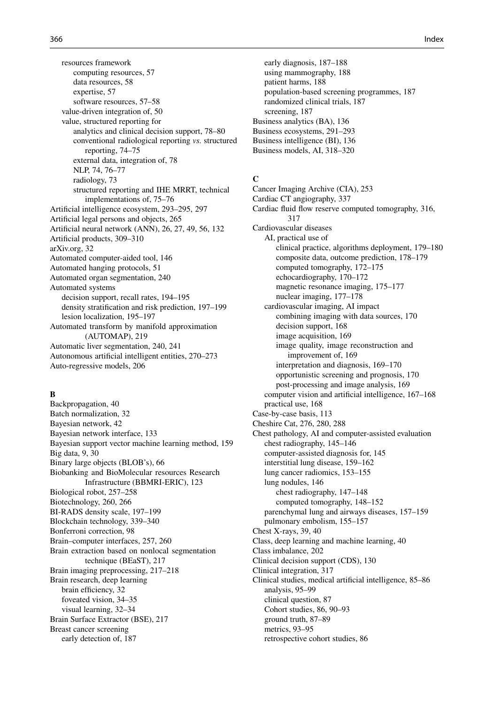resources framework computing resources, 57 data resources, 58 expertise, 57 software resources, 57–58 value-driven integration of, 50 value, structured reporting for analytics and clinical decision support, 78–80 conventional radiological reporting *vs.* structured reporting, 74–75 external data, integration of, 78 NLP, 74, 76–77 radiology, 73 structured reporting and IHE MRRT, technical implementations of, 75–76 Artificial intelligence ecosystem, 293–295, 297 Artificial legal persons and objects, 265 Artificial neural network (ANN), 26, 27, 49, 56, 132 Artificial products, 309–310 arXiv.org, 32 Automated computer-aided tool, 146 Automated hanging protocols, 51 Automated organ segmentation, 240 Automated systems decision support, recall rates, 194–195 density stratification and risk prediction, 197–199 lesion localization, 195–197 Automated transform by manifold approximation (AUTOMAP), 219 Automatic liver segmentation, 240, 241 Autonomous artificial intelligent entities, 270–273 Auto-regressive models, 206

## **B**

Backpropagation, 40 Batch normalization, 32 Bayesian network, 42 Bayesian network interface, 133 Bayesian support vector machine learning method, 159 Big data, 9, 30 Binary large objects (BLOB's), 66 Biobanking and BioMolecular resources Research Infrastructure (BBMRI-ERIC), 123 Biological robot, 257–258 Biotechnology, 260, 266 BI-RADS density scale, 197–199 Blockchain technology, 339–340 Bonferroni correction, 98 Brain–computer interfaces, 257, 260 Brain extraction based on nonlocal segmentation technique (BEaST), 217 Brain imaging preprocessing, 217–218 Brain research, deep learning brain efficiency, 32 foveated vision, 34–35 visual learning, 32–34 Brain Surface Extractor (BSE), 217 Breast cancer screening early detection of, 187

early diagnosis, 187–188 using mammography, 188 patient harms, 188 population-based screening programmes, 187 randomized clinical trials, 187 screening, 187 Business analytics (BA), 136 Business ecosystems, 291–293 Business intelligence (BI), 136 Business models, AI, 318–320

## **C**

Cancer Imaging Archive (CIA), 253 Cardiac CT angiography, 337 Cardiac fluid flow reserve computed tomography, 316, 317 Cardiovascular diseases AI, practical use of clinical practice, algorithms deployment, 179–180 composite data, outcome prediction, 178–179 computed tomography, 172–175 echocardiography, 170–172 magnetic resonance imaging, 175–177 nuclear imaging, 177–178 cardiovascular imaging, AI impact combining imaging with data sources, 170 decision support, 168 image acquisition, 169 image quality, image reconstruction and improvement of, 169 interpretation and diagnosis, 169–170 opportunistic screening and prognosis, 170 post-processing and image analysis, 169 computer vision and artificial intelligence, 167–168 practical use, 168 Case-by-case basis, 113 Cheshire Cat, 276, 280, 288 Chest pathology, AI and computer-assisted evaluation chest radiography, 145–146 computer-assisted diagnosis for, 145 interstitial lung disease, 159–162 lung cancer radiomics, 153–155 lung nodules, 146 chest radiography, 147–148 computed tomography, 148–152 parenchymal lung and airways diseases, 157–159 pulmonary embolism, 155–157 Chest X-rays, 39, 40 Class, deep learning and machine learning, 40 Class imbalance, 202 Clinical decision support (CDS), 130 Clinical integration, 317 Clinical studies, medical artificial intelligence, 85–86 analysis, 95–99 clinical question, 87 Cohort studies, 86, 90–93 ground truth, 87–89 metrics, 93–95 retrospective cohort studies, 86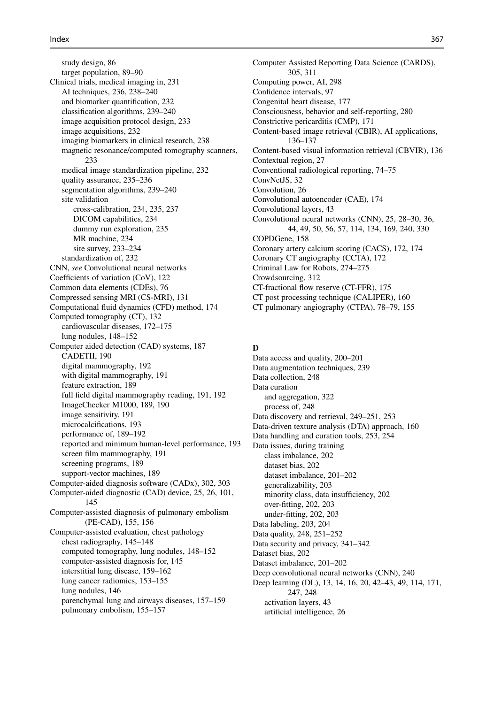study design, 86 target population, 89–90 Clinical trials, medical imaging in, 231 AI techniques, 236, 238–240 and biomarker quantification, 232 classification algorithms, 239–240 image acquisition protocol design, 233 image acquisitions, 232 imaging biomarkers in clinical research, 238 magnetic resonance/computed tomography scanners, 233 medical image standardization pipeline, 232 quality assurance, 235–236 segmentation algorithms, 239–240 site validation cross-calibration, 234, 235, 237 DICOM capabilities, 234 dummy run exploration, 235 MR machine, 234 site survey, 233–234 standardization of, 232 CNN, *see* Convolutional neural networks Coefficients of variation (CoV), 122 Common data elements (CDEs), 76 Compressed sensing MRI (CS-MRI), 131 Computational fluid dynamics (CFD) method, 174 Computed tomography (CT), 132 cardiovascular diseases, 172–175 lung nodules, 148–152 Computer aided detection (CAD) systems, 187 CADETII, 190 digital mammography, 192 with digital mammography, 191 feature extraction, 189 full field digital mammography reading, 191, 192 ImageChecker M1000, 189, 190 image sensitivity, 191 microcalcifications, 193 performance of, 189–192 reported and minimum human-level performance, 193 screen film mammography, 191 screening programs, 189 support-vector machines, 189 Computer-aided diagnosis software (CADx), 302, 303 Computer-aided diagnostic (CAD) device, 25, 26, 101, 145 Computer-assisted diagnosis of pulmonary embolism (PE-CAD), 155, 156 Computer-assisted evaluation, chest pathology chest radiography, 145–148 computed tomography, lung nodules, 148–152 computer-assisted diagnosis for, 145 interstitial lung disease, 159–162 lung cancer radiomics, 153–155 lung nodules, 146 parenchymal lung and airways diseases, 157–159

pulmonary embolism, 155–157

Computer Assisted Reporting Data Science (CARDS), 305, 311 Computing power, AI, 298 Confidence intervals, 97 Congenital heart disease, 177 Consciousness, behavior and self-reporting, 280 Constrictive pericarditis (CMP), 171 Content-based image retrieval (CBIR), AI applications, 136–137 Content-based visual information retrieval (CBVIR), 136 Contextual region, 27 Conventional radiological reporting, 74–75 ConvNetJS, 32 Convolution, 26 Convolutional autoencoder (CAE), 174 Convolutional layers, 43 Convolutional neural networks (CNN), 25, 28–30, 36, 44, 49, 50, 56, 57, 114, 134, 169, 240, 330 COPDGene, 158 Coronary artery calcium scoring (CACS), 172, 174 Coronary CT angiography (CCTA), 172 Criminal Law for Robots, 274–275 Crowdsourcing, 312 CT-fractional flow reserve (CT-FFR), 175 CT post processing technique (CALIPER), 160 CT pulmonary angiography (CTPA), 78–79, 155

#### **D**

Data access and quality, 200–201 Data augmentation techniques, 239 Data collection, 248 Data curation and aggregation, 322 process of, 248 Data discovery and retrieval, 249–251, 253 Data-driven texture analysis (DTA) approach, 160 Data handling and curation tools, 253, 254 Data issues, during training class imbalance, 202 dataset bias, 202 dataset imbalance, 201–202 generalizability, 203 minority class, data insufficiency, 202 over-fitting, 202, 203 under-fitting, 202, 203 Data labeling, 203, 204 Data quality, 248, 251–252 Data security and privacy, 341–342 Dataset bias, 202 Dataset imbalance, 201–202 Deep convolutional neural networks (CNN), 240 Deep learning (DL), 13, 14, 16, 20, 42–43, 49, 114, 171, 247, 248 activation layers, 43 artificial intelligence, 26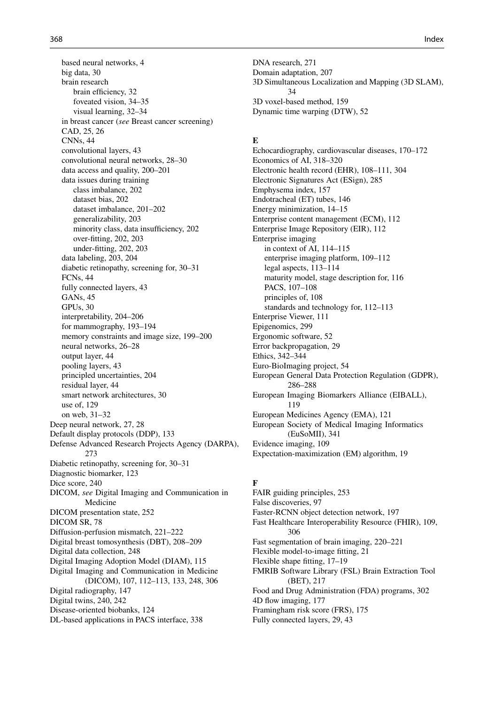based neural networks, 4 big data, 30 brain research brain efficiency, 32 foveated vision, 34–35 visual learning, 32–34 in breast cancer (*see* Breast cancer screening) CAD, 25, 26 CNNs, 44 convolutional layers, 43 convolutional neural networks, 28–30 data access and quality, 200–201 data issues during training class imbalance, 202 dataset bias, 202 dataset imbalance, 201–202 generalizability, 203 minority class, data insufficiency, 202 over-fitting, 202, 203 under-fitting, 202, 203 data labeling, 203, 204 diabetic retinopathy, screening for, 30–31 FCNs, 44 fully connected layers, 43 GANs, 45 GPUs, 30 interpretability, 204–206 for mammography, 193–194 memory constraints and image size, 199–200 neural networks, 26–28 output layer, 44 pooling layers, 43 principled uncertainties, 204 residual layer, 44 smart network architectures, 30 use of, 129 on web, 31–32 Deep neural network, 27, 28 Default display protocols (DDP), 133 Defense Advanced Research Projects Agency (DARPA), 273 Diabetic retinopathy, screening for, 30–31 Diagnostic biomarker, 123 Dice score, 240 DICOM, *see* Digital Imaging and Communication in Medicine DICOM presentation state, 252 DICOM SR, 78 Diffusion-perfusion mismatch, 221–222 Digital breast tomosynthesis (DBT), 208–209 Digital data collection, 248 Digital Imaging Adoption Model (DIAM), 115 Digital Imaging and Communication in Medicine (DICOM), 107, 112–113, 133, 248, 306 Digital radiography, 147 Digital twins, 240, 242 Disease-oriented biobanks, 124 DL-based applications in PACS interface, 338

DNA research, 271 Domain adaptation, 207 3D Simultaneous Localization and Mapping (3D SLAM), 34 3D voxel-based method, 159 Dynamic time warping (DTW), 52

### **E**

Echocardiography, cardiovascular diseases, 170–172 Economics of AI, 318–320 Electronic health record (EHR), 108–111, 304 Electronic Signatures Act (ESign), 285 Emphysema index, 157 Endotracheal (ET) tubes, 146 Energy minimization, 14–15 Enterprise content management (ECM), 112 Enterprise Image Repository (EIR), 112 Enterprise imaging in context of AI, 114–115 enterprise imaging platform, 109–112 legal aspects, 113–114 maturity model, stage description for, 116 PACS, 107–108 principles of, 108 standards and technology for, 112–113 Enterprise Viewer, 111 Epigenomics, 299 Ergonomic software, 52 Error backpropagation, 29 Ethics, 342–344 Euro-BioImaging project, 54 European General Data Protection Regulation (GDPR), 286–288 European Imaging Biomarkers Alliance (EIBALL), 119 European Medicines Agency (EMA), 121 European Society of Medical Imaging Informatics (EuSoMII), 341 Evidence imaging, 109 Expectation-maximization (EM) algorithm, 19

## **F**

FAIR guiding principles, 253 False discoveries, 97 Faster-RCNN object detection network, 197 Fast Healthcare Interoperability Resource (FHIR), 109, 306 Fast segmentation of brain imaging, 220–221 Flexible model-to-image fitting, 21 Flexible shape fitting, 17–19 FMRIB Software Library (FSL) Brain Extraction Tool (BET), 217 Food and Drug Administration (FDA) programs, 302 4D flow imaging, 177 Framingham risk score (FRS), 175 Fully connected layers, 29, 43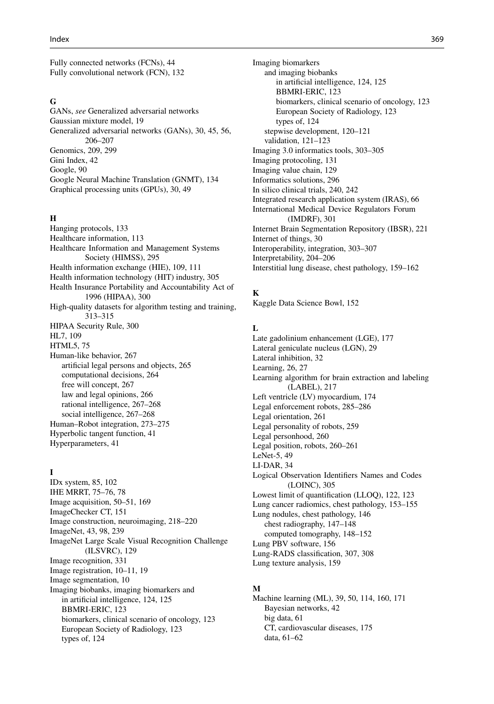Fully connected networks (FCNs), 44 Fully convolutional network (FCN), 132

# **G**

GANs, *see* Generalized adversarial networks Gaussian mixture model, 19 Generalized adversarial networks (GANs), 30, 45, 56, 206–207 Genomics, 209, 299 Gini Index, 42 Google, 90 Google Neural Machine Translation (GNMT), 134 Graphical processing units (GPUs), 30, 49

#### **H**

Hanging protocols, 133 Healthcare information, 113 Healthcare Information and Management Systems Society (HIMSS), 295 Health information exchange (HIE), 109, 111 Health information technology (HIT) industry, 305 Health Insurance Portability and Accountability Act of 1996 (HIPAA), 300 High-quality datasets for algorithm testing and training, 313–315 HIPAA Security Rule, 300 HL7, 109 HTML5, 75 Human-like behavior, 267 artificial legal persons and objects, 265 computational decisions, 264 free will concept, 267 law and legal opinions, 266 rational intelligence, 267–268 social intelligence, 267–268 Human–Robot integration, 273–275 Hyperbolic tangent function, 41 Hyperparameters, 41

#### **I**

IDx system, 85, 102 IHE MRRT, 75–76, 78 Image acquisition, 50–51, 169 ImageChecker CT, 151 Image construction, neuroimaging, 218–220 ImageNet, 43, 98, 239 ImageNet Large Scale Visual Recognition Challenge (ILSVRC), 129 Image recognition, 331 Image registration, 10–11, 19 Image segmentation, 10 Imaging biobanks, imaging biomarkers and in artificial intelligence, 124, 125 BBMRI-ERIC, 123 biomarkers, clinical scenario of oncology, 123 European Society of Radiology, 123 types of, 124

Imaging biomarkers and imaging biobanks in artificial intelligence, 124, 125 BBMRI-ERIC, 123 biomarkers, clinical scenario of oncology, 123 European Society of Radiology, 123 types of, 124 stepwise development, 120–121 validation, 121–123 Imaging 3.0 informatics tools, 303–305 Imaging protocoling, 131 Imaging value chain, 129 Informatics solutions, 296 In silico clinical trials, 240, 242 Integrated research application system (IRAS), 66 International Medical Device Regulators Forum (IMDRF), 301 Internet Brain Segmentation Repository (IBSR), 221 Internet of things, 30 Interoperability, integration, 303–307 Interpretability, 204–206 Interstitial lung disease, chest pathology, 159–162

#### **K**

Kaggle Data Science Bowl, 152

#### **L**

Late gadolinium enhancement (LGE), 177 Lateral geniculate nucleus (LGN), 29 Lateral inhibition, 32 Learning, 26, 27 Learning algorithm for brain extraction and labeling (LABEL), 217 Left ventricle (LV) myocardium, 174 Legal enforcement robots, 285–286 Legal orientation, 261 Legal personality of robots, 259 Legal personhood, 260 Legal position, robots, 260–261 LeNet-5, 49 LI-DAR, 34 Logical Observation Identifiers Names and Codes (LOINC), 305 Lowest limit of quantification (LLOQ), 122, 123 Lung cancer radiomics, chest pathology, 153–155 Lung nodules, chest pathology, 146 chest radiography, 147–148 computed tomography, 148–152 Lung PBV software, 156 Lung-RADS classification, 307, 308 Lung texture analysis, 159

#### **M**

Machine learning (ML), 39, 50, 114, 160, 171 Bayesian networks, 42 big data, 61 CT, cardiovascular diseases, 175 data, 61–62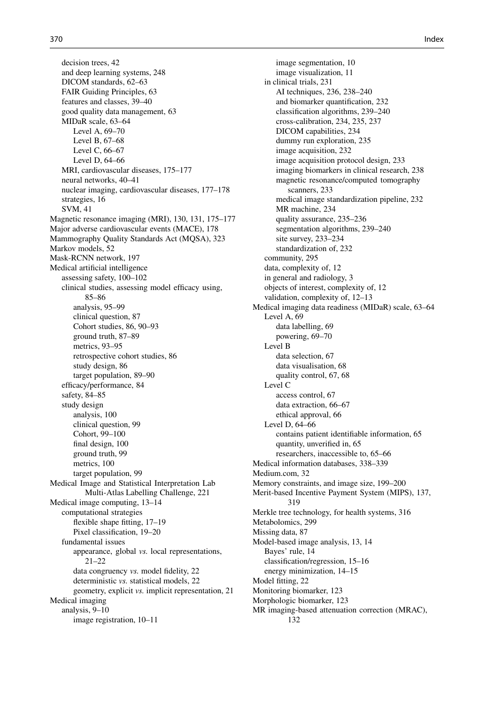decision trees, 42 and deep learning systems, 248 DICOM standards, 62–63 FAIR Guiding Principles, 63 features and classes, 39–40 good quality data management, 63 MIDaR scale, 63–64 Level A, 69–70 Level B, 67–68 Level C, 66–67 Level D, 64–66 MRI, cardiovascular diseases, 175–177 neural networks, 40–41 nuclear imaging, cardiovascular diseases, 177–178 strategies, 16 SVM, 41 Magnetic resonance imaging (MRI), 130, 131, 175–177 Major adverse cardiovascular events (MACE), 178 Mammography Quality Standards Act (MQSA), 323 Markov models, 52 Mask-RCNN network, 197 Medical artificial intelligence assessing safety, 100–102 clinical studies, assessing model efficacy using, 85–86 analysis, 95–99 clinical question, 87 Cohort studies, 86, 90–93 ground truth, 87–89 metrics, 93–95 retrospective cohort studies, 86 study design, 86 target population, 89–90 efficacy/performance, 84 safety, 84–85 study design analysis, 100 clinical question, 99 Cohort, 99–100 final design, 100 ground truth, 99 metrics, 100 target population, 99 Medical Image and Statistical Interpretation Lab Multi-Atlas Labelling Challenge, 221 Medical image computing, 13–14 computational strategies flexible shape fitting, 17–19 Pixel classification, 19–20 fundamental issues appearance, global *vs.* local representations, 21–22 data congruency *vs.* model fidelity, 22 deterministic *vs.* statistical models, 22 geometry, explicit *vs.* implicit representation, 21 Medical imaging analysis, 9–10 image registration, 10–11

image segmentation, 10 image visualization, 11 in clinical trials, 231 AI techniques, 236, 238–240 and biomarker quantification, 232 classification algorithms, 239–240 cross-calibration, 234, 235, 237 DICOM capabilities, 234 dummy run exploration, 235 image acquisition, 232 image acquisition protocol design, 233 imaging biomarkers in clinical research, 238 magnetic resonance/computed tomography scanners, 233 medical image standardization pipeline, 232 MR machine, 234 quality assurance, 235–236 segmentation algorithms, 239–240 site survey, 233–234 standardization of, 232 community, 295 data, complexity of, 12 in general and radiology, 3 objects of interest, complexity of, 12 validation, complexity of, 12–13 Medical imaging data readiness (MIDaR) scale, 63–64 Level A, 69 data labelling, 69 powering, 69–70 Level B data selection, 67 data visualisation, 68 quality control, 67, 68 Level C access control, 67 data extraction, 66–67 ethical approval, 66 Level D, 64–66 contains patient identifiable information, 65 quantity, unverified in, 65 researchers, inaccessible to, 65–66 Medical information databases, 338–339 Medium.com, 32 Memory constraints, and image size, 199–200 Merit-based Incentive Payment System (MIPS), 137, 319 Merkle tree technology, for health systems, 316 Metabolomics, 299 Missing data, 87 Model-based image analysis, 13, 14 Bayes' rule, 14 classification/regression, 15–16 energy minimization, 14–15 Model fitting, 22 Monitoring biomarker, 123 Morphologic biomarker, 123 MR imaging-based attenuation correction (MRAC), 132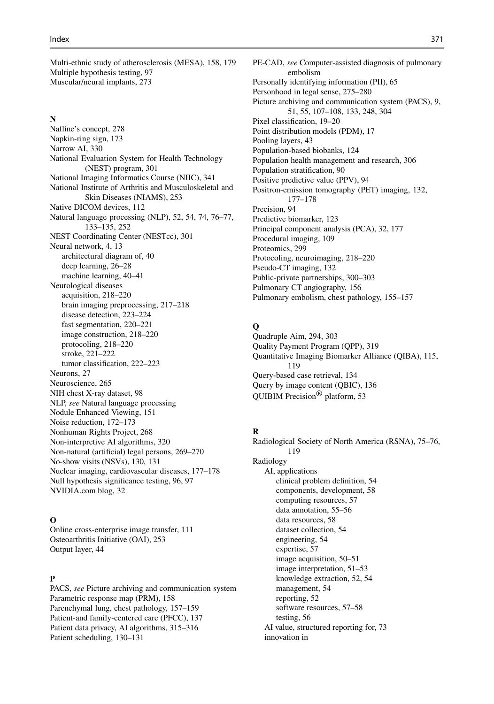Multi-ethnic study of atherosclerosis (MESA), 158, 179 Multiple hypothesis testing, 97 Muscular/neural implants, 273

#### **N**

Naffine's concept, 278 Napkin-ring sign, 173 Narrow AI, 330 National Evaluation System for Health Technology (NEST) program, 301 National Imaging Informatics Course (NIIC), 341 National Institute of Arthritis and Musculoskeletal and Skin Diseases (NIAMS), 253 Native DICOM devices, 112 Natural language processing (NLP), 52, 54, 74, 76–77, 133–135, 252 NEST Coordinating Center (NESTcc), 301 Neural network, 4, 13 architectural diagram of, 40 deep learning, 26–28 machine learning, 40–41 Neurological diseases acquisition, 218–220 brain imaging preprocessing, 217–218 disease detection, 223–224 fast segmentation, 220–221 image construction, 218–220 protocoling, 218–220 stroke, 221–222 tumor classification, 222–223 Neurons, 27 Neuroscience, 265 NIH chest X-ray dataset, 98 NLP, *see* Natural language processing Nodule Enhanced Viewing, 151 Noise reduction, 172–173 Nonhuman Rights Project, 268 Non-interpretive AI algorithms, 320 Non-natural (artificial) legal persons, 269–270 No-show visits (NSVs), 130, 131 Nuclear imaging, cardiovascular diseases, 177–178 Null hypothesis significance testing, 96, 97 NVIDIA.com blog, 32

#### **O**

Online cross-enterprise image transfer, 111 Osteoarthritis Initiative (OAI), 253 Output layer, 44

#### **P**

PACS, *see* Picture archiving and communication system Parametric response map (PRM), 158 Parenchymal lung, chest pathology, 157–159 Patient-and family-centered care (PFCC), 137 Patient data privacy, AI algorithms, 315–316 Patient scheduling, 130–131

PE-CAD, *see* Computer-assisted diagnosis of pulmonary embolism Personally identifying information (PII), 65 Personhood in legal sense, 275–280 Picture archiving and communication system (PACS), 9, 51, 55, 107–108, 133, 248, 304 Pixel classification, 19–20 Point distribution models (PDM), 17 Pooling layers, 43 Population-based biobanks, 124 Population health management and research, 306 Population stratification, 90 Positive predictive value (PPV), 94 Positron-emission tomography (PET) imaging, 132, 177–178 Precision, 94 Predictive biomarker, 123 Principal component analysis (PCA), 32, 177 Procedural imaging, 109 Proteomics, 299 Protocoling, neuroimaging, 218–220 Pseudo-CT imaging, 132 Public-private partnerships, 300–303 Pulmonary CT angiography, 156 Pulmonary embolism, chest pathology, 155–157

### **Q**

Quadruple Aim, 294, 303 Quality Payment Program (QPP), 319 Quantitative Imaging Biomarker Alliance (QIBA), 115, 119 Query-based case retrieval, 134 Query by image content (QBIC), 136 QUIBIM Precision® platform, 53

## **R**

Radiological Society of North America (RSNA), 75–76, 119 Radiology AI, applications clinical problem definition, 54 components, development, 58 computing resources, 57 data annotation, 55–56 data resources, 58 dataset collection, 54 engineering, 54 expertise, 57 image acquisition, 50–51 image interpretation, 51–53 knowledge extraction, 52, 54 management, 54 reporting, 52 software resources, 57–58 testing, 56 AI value, structured reporting for, 73 innovation in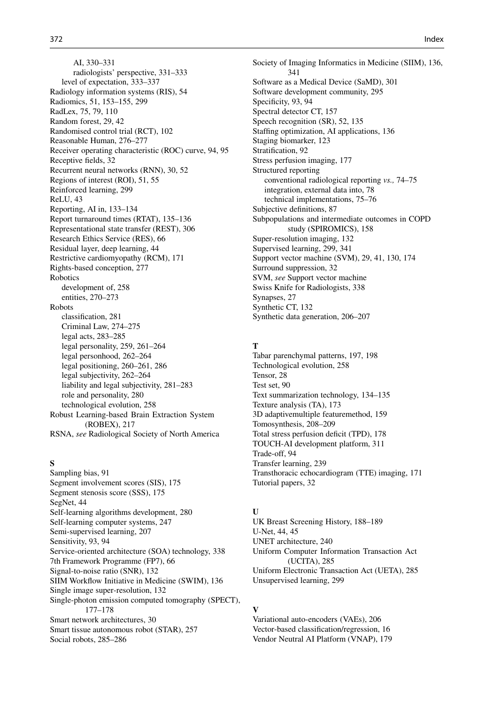AI, 330–331 radiologists' perspective, 331–333 level of expectation, 333–337 Radiology information systems (RIS), 54 Radiomics, 51, 153–155, 299 RadLex, 75, 79, 110 Random forest, 29, 42 Randomised control trial (RCT), 102 Reasonable Human, 276–277 Receiver operating characteristic (ROC) curve, 94, 95 Receptive fields, 32 Recurrent neural networks (RNN), 30, 52 Regions of interest (ROI), 51, 55 Reinforced learning, 299 ReLU, 43 Reporting, AI in, 133–134 Report turnaround times (RTAT), 135–136 Representational state transfer (REST), 306 Research Ethics Service (RES), 66 Residual layer, deep learning, 44 Restrictive cardiomyopathy (RCM), 171 Rights-based conception, 277 Robotics development of, 258 entities, 270–273 Robots classification, 281 Criminal Law, 274–275 legal acts, 283–285 legal personality, 259, 261–264 legal personhood, 262–264 legal positioning, 260–261, 286 legal subjectivity, 262–264 liability and legal subjectivity, 281–283 role and personality, 280 technological evolution, 258 Robust Learning-based Brain Extraction System (ROBEX), 217 RSNA, *see* Radiological Society of North America

#### **S**

Sampling bias, 91 Segment involvement scores (SIS), 175 Segment stenosis score (SSS), 175 SegNet, 44 Self-learning algorithms development, 280 Self-learning computer systems, 247 Semi-supervised learning, 207 Sensitivity, 93, 94 Service-oriented architecture (SOA) technology, 338 7th Framework Programme (FP7), 66 Signal-to-noise ratio (SNR), 132 SIIM Workflow Initiative in Medicine (SWIM), 136 Single image super-resolution, 132 Single-photon emission computed tomography (SPECT), 177–178 Smart network architectures, 30 Smart tissue autonomous robot (STAR), 257 Social robots, 285–286

Society of Imaging Informatics in Medicine (SIIM), 136, 341 Software as a Medical Device (SaMD), 301 Software development community, 295 Specificity, 93, 94 Spectral detector CT, 157 Speech recognition (SR), 52, 135 Staffing optimization, AI applications, 136 Staging biomarker, 123 Stratification, 92 Stress perfusion imaging, 177 Structured reporting conventional radiological reporting *vs.,* 74–75 integration, external data into, 78 technical implementations, 75–76 Subjective definitions, 87 Subpopulations and intermediate outcomes in COPD study (SPIROMICS), 158 Super-resolution imaging, 132 Supervised learning, 299, 341 Support vector machine (SVM), 29, 41, 130, 174 Surround suppression, 32 SVM, *see* Support vector machine Swiss Knife for Radiologists, 338 Synapses, 27 Synthetic CT, 132 Synthetic data generation, 206–207

## **T**

Tabar parenchymal patterns, 197, 198 Technological evolution, 258 Tensor, 28 Test set, 90 Text summarization technology, 134–135 Texture analysis (TA), 173 3D adaptivemultiple featuremethod, 159 Tomosynthesis, 208–209 Total stress perfusion deficit (TPD), 178 TOUCH-AI development platform, 311 Trade-off, 94 Transfer learning, 239 Transthoracic echocardiogram (TTE) imaging, 171 Tutorial papers, 32

#### **U**

UK Breast Screening History, 188–189 U-Net, 44, 45 UNET architecture, 240 Uniform Computer Information Transaction Act (UCITA), 285 Uniform Electronic Transaction Act (UETA), 285 Unsupervised learning, 299

#### **V**

Variational auto-encoders (VAEs), 206 Vector-based classification/regression, 16 Vendor Neutral AI Platform (VNAP), 179